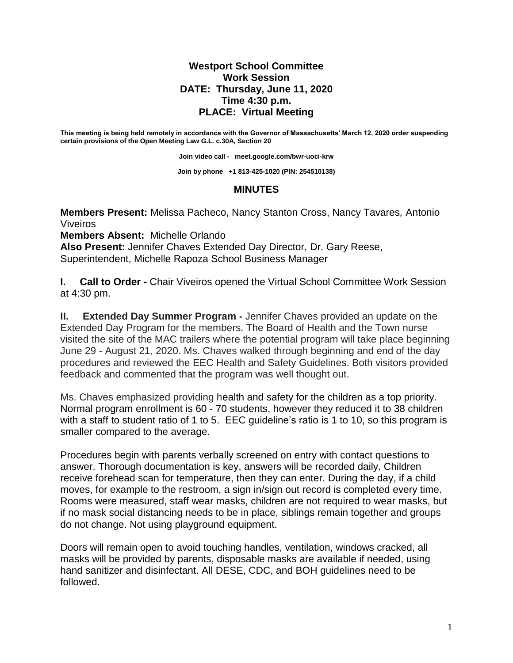## **Westport School Committee Work Session DATE: Thursday, June 11, 2020 Time 4:30 p.m. PLACE: Virtual Meeting**

**This meeting is being held remotely in accordance with the Governor of Massachusetts' March 12, 2020 order suspending certain provisions of the Open Meeting Law G.L. c.30A, Section 20**

**Join video call - [meet.google.com/bwr-uoci-krw](https://meet.google.com/bwr-uoci-krw)**

**Join by phone +1 813-425-1020 (PIN: 254510138)**

## **MINUTES**

**Members Present:** Melissa Pacheco, Nancy Stanton Cross, Nancy Tavares*,* Antonio Viveiros

**Members Absent:** Michelle Orlando

**Also Present:** Jennifer Chaves Extended Day Director, Dr. Gary Reese, Superintendent, Michelle Rapoza School Business Manager

**I. Call to Order -** Chair Viveiros opened the Virtual School Committee Work Session at 4:30 pm.

**II. Extended Day Summer Program -** Jennifer Chaves provided an update on the Extended Day Program for the members. The Board of Health and the Town nurse visited the site of the MAC trailers where the potential program will take place beginning June 29 - August 21, 2020. Ms. Chaves walked through beginning and end of the day procedures and reviewed the EEC Health and Safety Guidelines. Both visitors provided feedback and commented that the program was well thought out.

Ms. Chaves emphasized providing health and safety for the children as a top priority. Normal program enrollment is 60 - 70 students, however they reduced it to 38 children with a staff to student ratio of 1 to 5. EEC guideline's ratio is 1 to 10, so this program is smaller compared to the average.

Procedures begin with parents verbally screened on entry with contact questions to answer. Thorough documentation is key, answers will be recorded daily. Children receive forehead scan for temperature, then they can enter. During the day, if a child moves, for example to the restroom, a sign in/sign out record is completed every time. Rooms were measured, staff wear masks, children are not required to wear masks, but if no mask social distancing needs to be in place, siblings remain together and groups do not change. Not using playground equipment.

Doors will remain open to avoid touching handles, ventilation, windows cracked, all masks will be provided by parents, disposable masks are available if needed, using hand sanitizer and disinfectant. All DESE, CDC, and BOH guidelines need to be followed.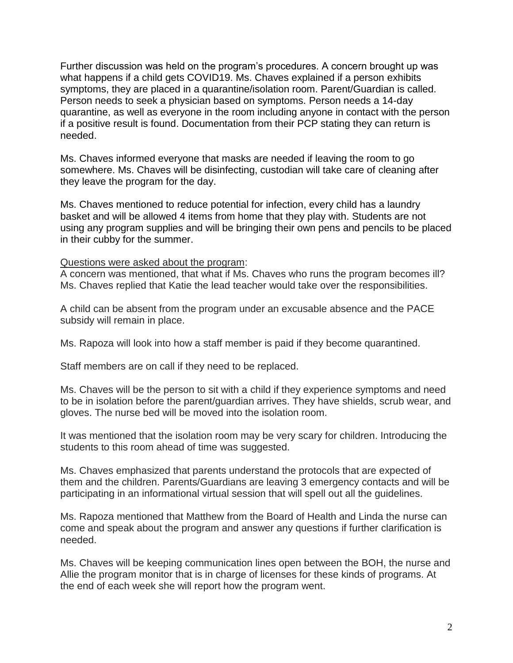Further discussion was held on the program's procedures. A concern brought up was what happens if a child gets COVID19. Ms. Chaves explained if a person exhibits symptoms, they are placed in a quarantine/isolation room. Parent/Guardian is called. Person needs to seek a physician based on symptoms. Person needs a 14-day quarantine, as well as everyone in the room including anyone in contact with the person if a positive result is found. Documentation from their PCP stating they can return is needed.

Ms. Chaves informed everyone that masks are needed if leaving the room to go somewhere. Ms. Chaves will be disinfecting, custodian will take care of cleaning after they leave the program for the day.

Ms. Chaves mentioned to reduce potential for infection, every child has a laundry basket and will be allowed 4 items from home that they play with. Students are not using any program supplies and will be bringing their own pens and pencils to be placed in their cubby for the summer.

## Questions were asked about the program:

A concern was mentioned, that what if Ms. Chaves who runs the program becomes ill? Ms. Chaves replied that Katie the lead teacher would take over the responsibilities.

A child can be absent from the program under an excusable absence and the PACE subsidy will remain in place.

Ms. Rapoza will look into how a staff member is paid if they become quarantined.

Staff members are on call if they need to be replaced.

Ms. Chaves will be the person to sit with a child if they experience symptoms and need to be in isolation before the parent/guardian arrives. They have shields, scrub wear, and gloves. The nurse bed will be moved into the isolation room.

It was mentioned that the isolation room may be very scary for children. Introducing the students to this room ahead of time was suggested.

Ms. Chaves emphasized that parents understand the protocols that are expected of them and the children. Parents/Guardians are leaving 3 emergency contacts and will be participating in an informational virtual session that will spell out all the guidelines.

Ms. Rapoza mentioned that Matthew from the Board of Health and Linda the nurse can come and speak about the program and answer any questions if further clarification is needed.

Ms. Chaves will be keeping communication lines open between the BOH, the nurse and Allie the program monitor that is in charge of licenses for these kinds of programs. At the end of each week she will report how the program went.